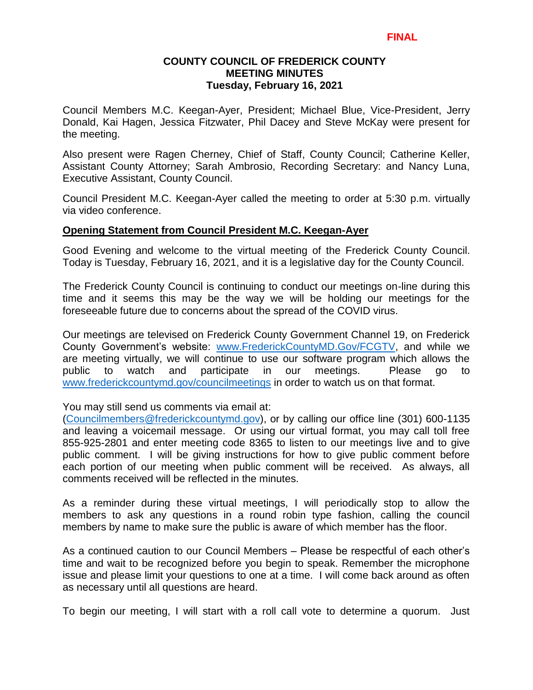### **COUNTY COUNCIL OF FREDERICK COUNTY MEETING MINUTES Tuesday, February 16, 2021**

Council Members M.C. Keegan-Ayer, President; Michael Blue, Vice-President, Jerry Donald, Kai Hagen, Jessica Fitzwater, Phil Dacey and Steve McKay were present for the meeting.

Also present were Ragen Cherney, Chief of Staff, County Council; Catherine Keller, Assistant County Attorney; Sarah Ambrosio, Recording Secretary: and Nancy Luna, Executive Assistant, County Council.

Council President M.C. Keegan-Ayer called the meeting to order at 5:30 p.m. virtually via video conference.

#### **Opening Statement from Council President M.C. Keegan-Ayer**

Good Evening and welcome to the virtual meeting of the Frederick County Council. Today is Tuesday, February 16, 2021, and it is a legislative day for the County Council.

The Frederick County Council is continuing to conduct our meetings on-line during this time and it seems this may be the way we will be holding our meetings for the foreseeable future due to concerns about the spread of the COVID virus.

Our meetings are televised on Frederick County Government Channel 19, on Frederick County Government's website: [www.FrederickCountyMD.Gov/FCGTV,](http://www.frederickcountymd.gov/FCGTV) and while we are meeting virtually, we will continue to use our software program which allows the public to watch and participate in our meetings. Please go to [www.frederickcountymd.gov/councilmeetings](http://www.frederickcountymd.gov/councilmeetings) in order to watch us on that format.

You may still send us comments via email at:

[\(Councilmembers@frederickcountymd.gov\)](mailto:Councilmembers@frederickcountymd.gov), or by calling our office line (301) 600-1135 and leaving a voicemail message. Or using our virtual format, you may call toll free 855-925-2801 and enter meeting code 8365 to listen to our meetings live and to give public comment. I will be giving instructions for how to give public comment before each portion of our meeting when public comment will be received. As always, all comments received will be reflected in the minutes.

As a reminder during these virtual meetings, I will periodically stop to allow the members to ask any questions in a round robin type fashion, calling the council members by name to make sure the public is aware of which member has the floor.

As a continued caution to our Council Members – Please be respectful of each other's time and wait to be recognized before you begin to speak. Remember the microphone issue and please limit your questions to one at a time. I will come back around as often as necessary until all questions are heard.

To begin our meeting, I will start with a roll call vote to determine a quorum. Just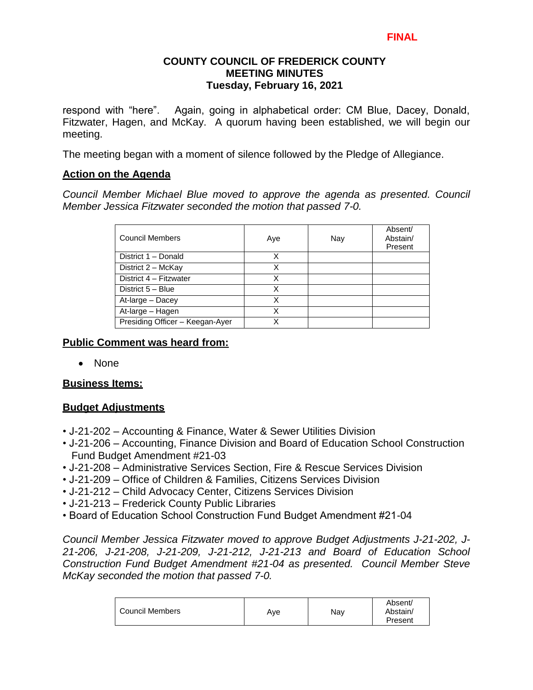## **COUNTY COUNCIL OF FREDERICK COUNTY MEETING MINUTES Tuesday, February 16, 2021**

respond with "here". Again, going in alphabetical order: CM Blue, Dacey, Donald, Fitzwater, Hagen, and McKay. A quorum having been established, we will begin our meeting.

The meeting began with a moment of silence followed by the Pledge of Allegiance.

# **Action on the Agenda**

*Council Member Michael Blue moved to approve the agenda as presented. Council Member Jessica Fitzwater seconded the motion that passed 7-0.*

| Council Members                 | Aye | Nay | Absent/<br>Abstain/<br>Present |
|---------------------------------|-----|-----|--------------------------------|
| District 1 - Donald             | X   |     |                                |
| District 2 - McKay              | x   |     |                                |
| District 4 - Fitzwater          | х   |     |                                |
| District 5 - Blue               | X   |     |                                |
| At-large - Dacey                | x   |     |                                |
| At-large - Hagen                | X   |     |                                |
| Presiding Officer - Keegan-Ayer | X   |     |                                |

# **Public Comment was heard from:**

• None

# **Business Items:**

# **Budget Adjustments**

- J-21-202 Accounting & Finance, Water & Sewer Utilities Division
- J-21-206 Accounting, Finance Division and Board of Education School Construction Fund Budget Amendment #21-03
- J-21-208 Administrative Services Section, Fire & Rescue Services Division
- J-21-209 Office of Children & Families, Citizens Services Division
- J-21-212 Child Advocacy Center, Citizens Services Division
- J-21-213 Frederick County Public Libraries
- Board of Education School Construction Fund Budget Amendment #21-04

*Council Member Jessica Fitzwater moved to approve Budget Adjustments J-21-202, J-21-206, J-21-208, J-21-209, J-21-212, J-21-213 and Board of Education School Construction Fund Budget Amendment #21-04 as presented. Council Member Steve McKay seconded the motion that passed 7-0.*

|                        |     |     | Absent/             |
|------------------------|-----|-----|---------------------|
| <b>Council Members</b> | Ave | Nav | Abstain/<br>Present |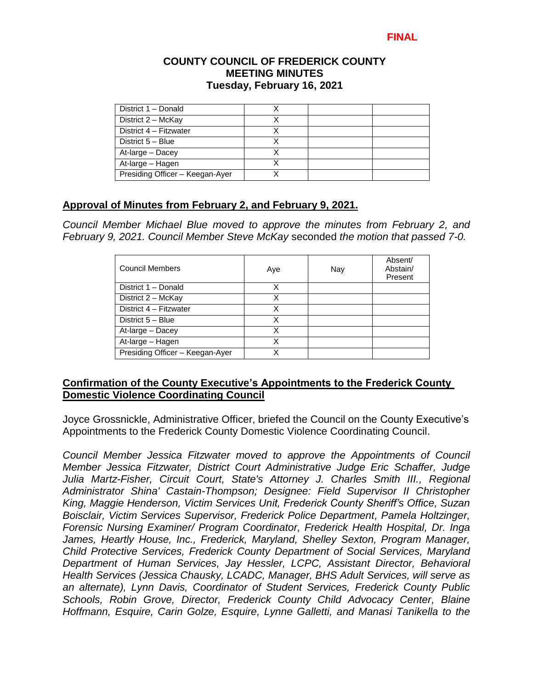#### **COUNTY COUNCIL OF FREDERICK COUNTY MEETING MINUTES Tuesday, February 16, 2021**

| District 1 - Donald             |  |  |
|---------------------------------|--|--|
| District 2 - McKay              |  |  |
| District 4 - Fitzwater          |  |  |
| District 5 - Blue               |  |  |
| At-large - Dacey                |  |  |
| At-large - Hagen                |  |  |
| Presiding Officer - Keegan-Ayer |  |  |

# **Approval of Minutes from February 2, and February 9, 2021.**

*Council Member Michael Blue moved to approve the minutes from February 2, and February 9, 2021. Council Member Steve McKay* seconded *the motion that passed 7-0.* 

| Council Members                 | Aye | Nay | Absent/<br>Abstain/<br>Present |
|---------------------------------|-----|-----|--------------------------------|
| District 1 - Donald             | X   |     |                                |
| District 2 - McKay              | X   |     |                                |
| District 4 - Fitzwater          | x   |     |                                |
| District 5 - Blue               | x   |     |                                |
| At-large - Dacey                | x   |     |                                |
| At-large - Hagen                | x   |     |                                |
| Presiding Officer - Keegan-Ayer |     |     |                                |

# **Confirmation of the County Executive's Appointments to the Frederick County Domestic Violence Coordinating Council**

Joyce Grossnickle, Administrative Officer, briefed the Council on the County Executive's Appointments to the Frederick County Domestic Violence Coordinating Council.

*Council Member Jessica Fitzwater moved to approve the Appointments of Council Member Jessica Fitzwater, District Court Administrative Judge Eric Schaffer, Judge Julia Martz-Fisher, Circuit Court, State's Attorney J. Charles Smith III., Regional Administrator Shina' Castain-Thompson; Designee: Field Supervisor II Christopher King, Maggie Henderson, Victim Services Unit, Frederick County Sheriff's Office, Suzan Boisclair, Victim Services Supervisor, Frederick Police Department, Pamela Holtzinger, Forensic Nursing Examiner/ Program Coordinator, Frederick Health Hospital, Dr. Inga James, Heartly House, Inc., Frederick, Maryland, Shelley Sexton, Program Manager, Child Protective Services, Frederick County Department of Social Services, Maryland Department of Human Services, Jay Hessler, LCPC, Assistant Director, Behavioral Health Services (Jessica Chausky, LCADC, Manager, BHS Adult Services, will serve as an alternate), Lynn Davis, Coordinator of Student Services, Frederick County Public Schools, Robin Grove, Director, Frederick County Child Advocacy Center, Blaine Hoffmann, Esquire, Carin Golze, Esquire, Lynne Galletti, and Manasi Tanikella to the*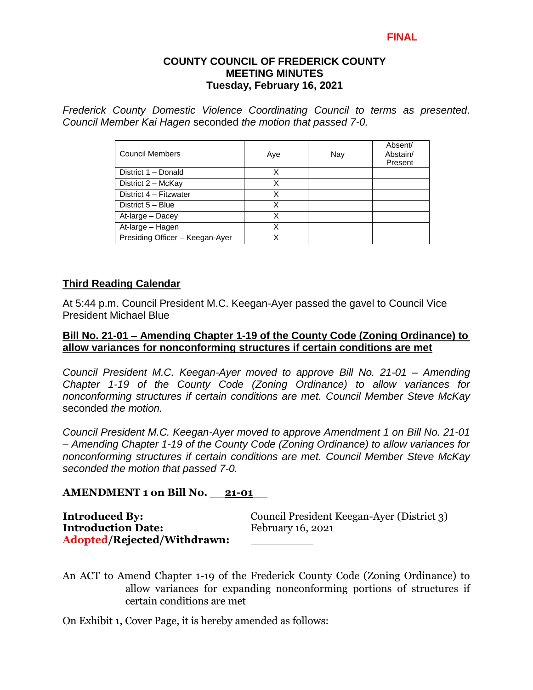#### **COUNTY COUNCIL OF FREDERICK COUNTY MEETING MINUTES Tuesday, February 16, 2021**

*Frederick County Domestic Violence Coordinating Council to terms as presented. Council Member Kai Hagen* seconded *the motion that passed 7-0.* 

| <b>Council Members</b>          | Aye | Nay | Absent/<br>Abstain/<br>Present |
|---------------------------------|-----|-----|--------------------------------|
| District 1 - Donald             | х   |     |                                |
| District 2 - McKay              | x   |     |                                |
| District 4 - Fitzwater          | X   |     |                                |
| District 5 - Blue               | X   |     |                                |
| At-large - Dacey                | Χ   |     |                                |
| At-large - Hagen                | Χ   |     |                                |
| Presiding Officer - Keegan-Ayer |     |     |                                |

#### **Third Reading Calendar**

At 5:44 p.m. Council President M.C. Keegan-Ayer passed the gavel to Council Vice President Michael Blue

#### **Bill No. 21-01 – Amending Chapter 1-19 of the County Code (Zoning Ordinance) to allow variances for nonconforming structures if certain conditions are met**

*Council President M.C. Keegan-Ayer moved to approve Bill No. 21-01 – Amending Chapter 1-19 of the County Code (Zoning Ordinance) to allow variances for nonconforming structures if certain conditions are met. Council Member Steve McKay* seconded *the motion.* 

*Council President M.C. Keegan-Ayer moved to approve Amendment 1 on Bill No. 21-01 – Amending Chapter 1-19 of the County Code (Zoning Ordinance) to allow variances for nonconforming structures if certain conditions are met. Council Member Steve McKay seconded the motion that passed 7-0.*

#### **AMENDMENT 1 on Bill No. \_\_21-01\_\_**

**Introduction Date:** February 16, 2021 **Adopted/Rejected/Withdrawn:**

**Introduced By:** Council President Keegan-Ayer (District 3)

An ACT to Amend Chapter 1-19 of the Frederick County Code (Zoning Ordinance) to allow variances for expanding nonconforming portions of structures if certain conditions are met

On Exhibit 1, Cover Page, it is hereby amended as follows: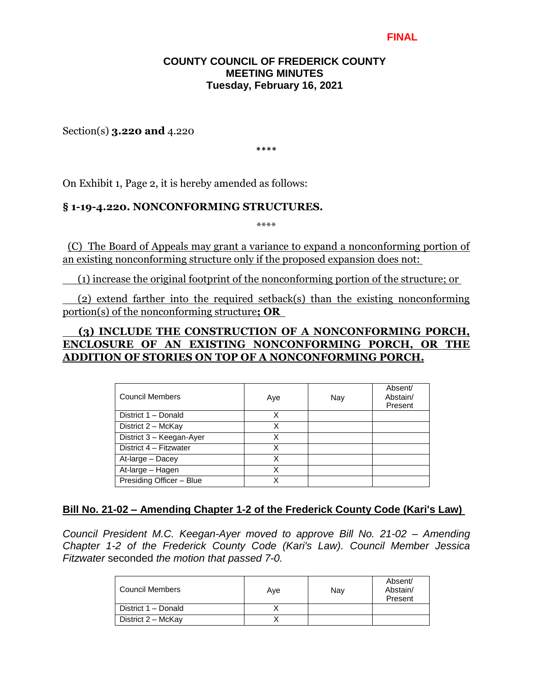### **COUNTY COUNCIL OF FREDERICK COUNTY MEETING MINUTES Tuesday, February 16, 2021**

Section(s) **3.220 and** 4.220

\*\*\*\*

On Exhibit 1, Page 2, it is hereby amended as follows:

#### **§ 1-19-4.220. NONCONFORMING STRUCTURES.**

\*\*\*\*

 (C) The Board of Appeals may grant a variance to expand a nonconforming portion of an existing nonconforming structure only if the proposed expansion does not:

(1) increase the original footprint of the nonconforming portion of the structure; or

 (2) extend farther into the required setback(s) than the existing nonconforming portion(s) of the nonconforming structure**; OR**

# **(3) INCLUDE THE CONSTRUCTION OF A NONCONFORMING PORCH, ENCLOSURE OF AN EXISTING NONCONFORMING PORCH, OR THE ADDITION OF STORIES ON TOP OF A NONCONFORMING PORCH.**

| <b>Council Members</b>   | Aye | Nay | Absent/<br>Abstain/<br>Present |
|--------------------------|-----|-----|--------------------------------|
| District 1 - Donald      | Χ   |     |                                |
| District 2 - McKay       | Χ   |     |                                |
| District 3 - Keegan-Ayer | Χ   |     |                                |
| District 4 - Fitzwater   | Χ   |     |                                |
| At-large - Dacey         | X   |     |                                |
| At-large - Hagen         |     |     |                                |
| Presiding Officer - Blue |     |     |                                |

## **Bill No. 21-02 – Amending Chapter 1-2 of the Frederick County Code (Kari's Law)**

*Council President M.C. Keegan-Ayer moved to approve Bill No. 21-02 – Amending Chapter 1-2 of the Frederick County Code (Kari's Law). Council Member Jessica Fitzwater* seconded *the motion that passed 7-0.* 

| Council Members     | Ave | Nay | Absent/<br>Abstain/<br>Present |
|---------------------|-----|-----|--------------------------------|
| District 1 - Donald |     |     |                                |
| District 2 - McKay  |     |     |                                |